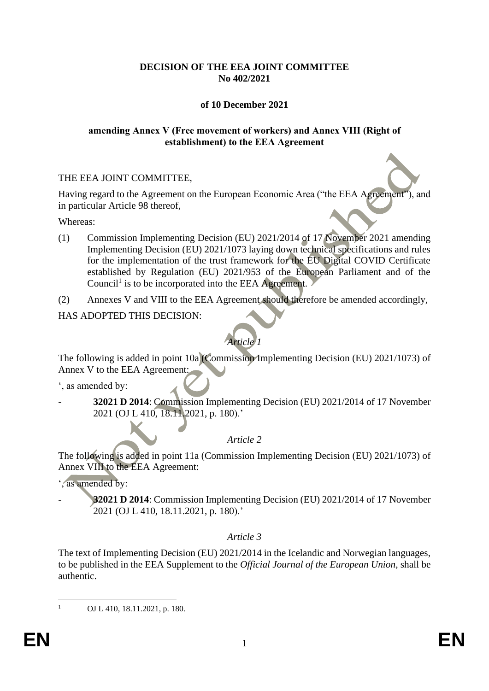### **DECISION OF THE EEA JOINT COMMITTEE No 402/2021**

# **of 10 December 2021**

#### **amending Annex V (Free movement of workers) and Annex VIII (Right of establishment) to the EEA Agreement**

### THE EEA JOINT COMMITTEE,

Having regard to the Agreement on the European Economic Area ("the EEA Agreement"), and in particular Article 98 thereof,

Whereas:

- (1) Commission Implementing Decision (EU) 2021/2014 of 17 November 2021 amending Implementing Decision (EU) 2021/1073 laying down technical specifications and rules for the implementation of the trust framework for the EU Digital COVID Certificate established by Regulation (EU) 2021/953 of the European Parliament and of the Council<sup>1</sup> is to be incorporated into the EEA Agreement.
- (2) Annexes V and VIII to the EEA Agreement should therefore be amended accordingly,

### HAS ADOPTED THIS DECISION:



The following is added in point 10a (Commission Implementing Decision (EU) 2021/1073) of Annex V to the EEA Agreement:

', as amended by:

- **32021 D 2014**: Commission Implementing Decision (EU) 2021/2014 of 17 November 2021 (OJ L 410, 18.11.2021, p. 180).'

# *Article 2*

The following is added in point 11a (Commission Implementing Decision (EU) 2021/1073) of Annex VIII to the EEA Agreement:

', as amended by:

- **32021 D 2014**: Commission Implementing Decision (EU) 2021/2014 of 17 November 2021 (OJ L 410, 18.11.2021, p. 180).'

# *Article 3*

The text of Implementing Decision (EU) 2021/2014 in the Icelandic and Norwegian languages, to be published in the EEA Supplement to the *Official Journal of the European Union*, shall be authentic.

<sup>1</sup> OJ L 410, 18.11.2021, p. 180.